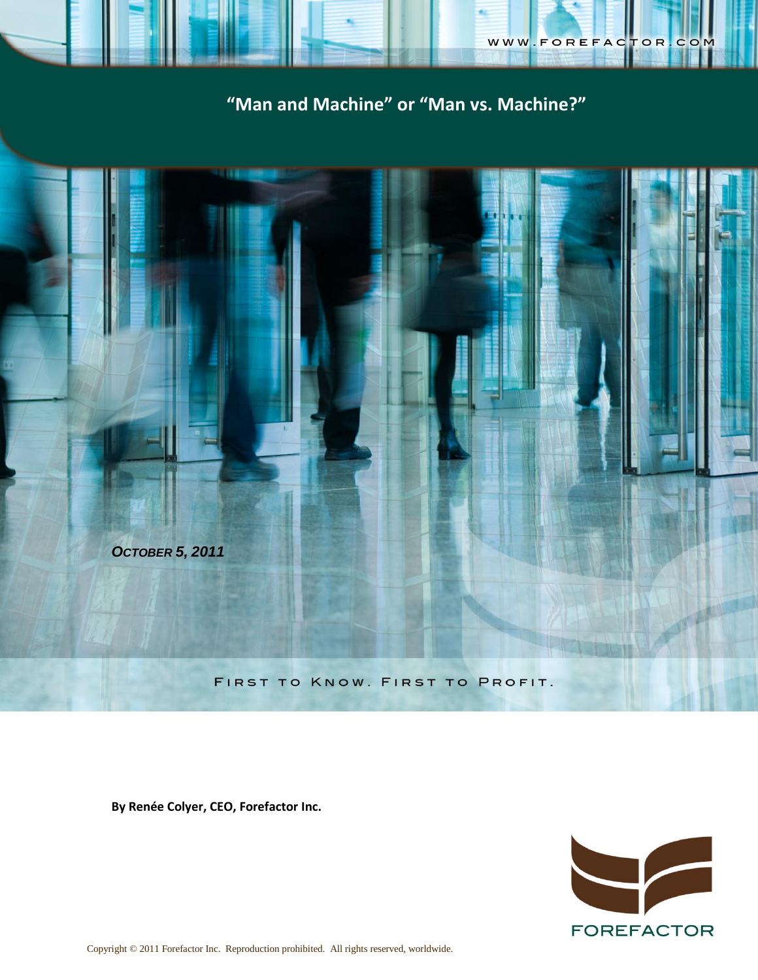

# **"Man and Machine" or "Man vs. Machine?"**



**By Renée Colyer, CEO, Forefactor Inc.**

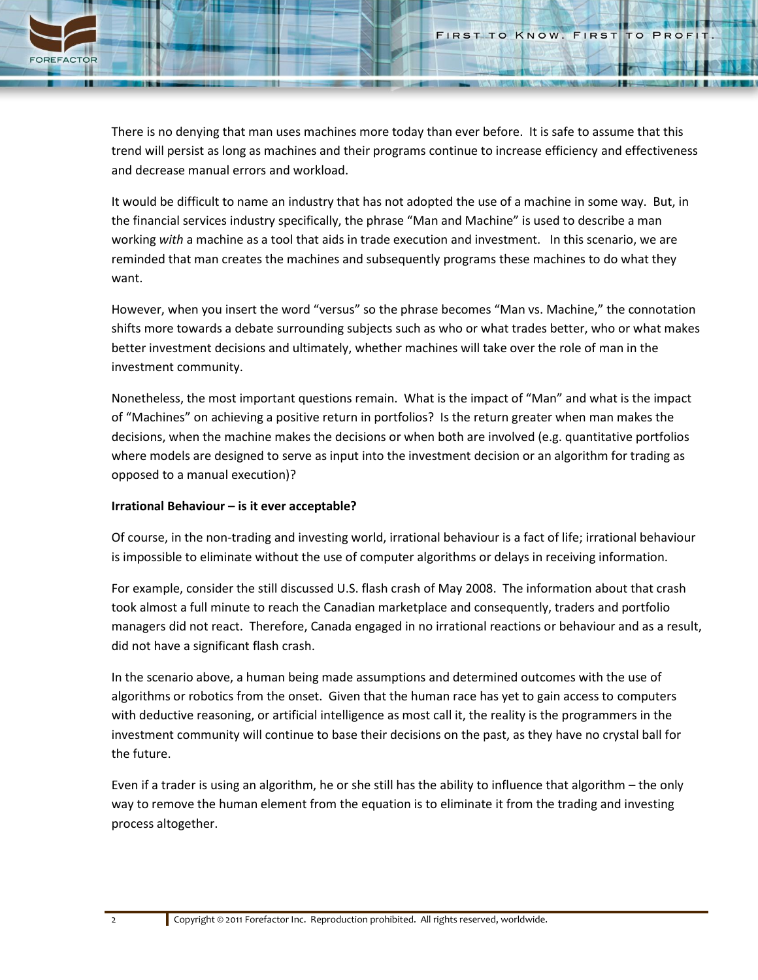

There is no denying that man uses machines more today than ever before. It is safe to assume that this trend will persist as long as machines and their programs continue to increase efficiency and effectiveness and decrease manual errors and workload.

It would be difficult to name an industry that has not adopted the use of a machine in some way. But, in the financial services industry specifically, the phrase "Man and Machine" is used to describe a man working *with* a machine as a tool that aids in trade execution and investment. In this scenario, we are reminded that man creates the machines and subsequently programs these machines to do what they want.

However, when you insert the word "versus" so the phrase becomes "Man vs. Machine," the connotation shifts more towards a debate surrounding subjects such as who or what trades better, who or what makes better investment decisions and ultimately, whether machines will take over the role of man in the investment community.

Nonetheless, the most important questions remain. What is the impact of "Man" and what is the impact of "Machines" on achieving a positive return in portfolios? Is the return greater when man makes the decisions, when the machine makes the decisions or when both are involved (e.g. quantitative portfolios where models are designed to serve as input into the investment decision or an algorithm for trading as opposed to a manual execution)?

## **Irrational Behaviour – is it ever acceptable?**

Of course, in the non-trading and investing world, irrational behaviour is a fact of life; irrational behaviour is impossible to eliminate without the use of computer algorithms or delays in receiving information.

For example, consider the still discussed U.S. flash crash of May 2008. The information about that crash took almost a full minute to reach the Canadian marketplace and consequently, traders and portfolio managers did not react. Therefore, Canada engaged in no irrational reactions or behaviour and as a result, did not have a significant flash crash.

In the scenario above, a human being made assumptions and determined outcomes with the use of algorithms or robotics from the onset. Given that the human race has yet to gain access to computers with deductive reasoning, or artificial intelligence as most call it, the reality is the programmers in the investment community will continue to base their decisions on the past, as they have no crystal ball for the future.

Even if a trader is using an algorithm, he or she still has the ability to influence that algorithm – the only way to remove the human element from the equation is to eliminate it from the trading and investing process altogether.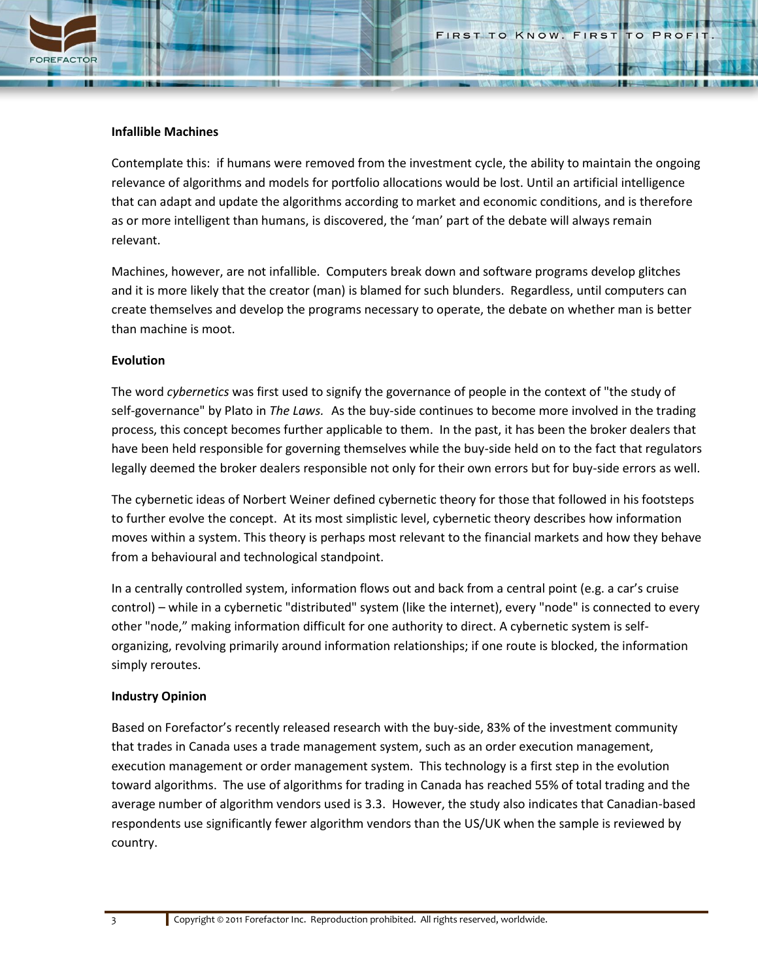### **Infallible Machines**

Contemplate this: if humans were removed from the investment cycle, the ability to maintain the ongoing relevance of algorithms and models for portfolio allocations would be lost. Until an artificial intelligence that can adapt and update the algorithms according to market and economic conditions, and is therefore as or more intelligent than humans, is discovered, the 'man' part of the debate will always remain relevant.

Machines, however, are not infallible. Computers break down and software programs develop glitches and it is more likely that the creator (man) is blamed for such blunders. Regardless, until computers can create themselves and develop the programs necessary to operate, the debate on whether man is better than machine is moot.

### **Evolution**

The word *cybernetics* was first used to signify the governance of people in the context of "the study of self-governance" b[y Plato](http://en.wikipedia.org/wiki/Plato) in *[The Laws.](http://en.wikipedia.org/wiki/The_Laws)* As the buy-side continues to become more involved in the trading process, this concept becomes further applicable to them. In the past, it has been the broker dealers that have been held responsible for governing themselves while the buy-side held on to the fact that regulators legally deemed the broker dealers responsible not only for their own errors but for buy-side errors as well.

The cybernetic ideas of Norbert Weiner defined cybernetic theory for those that followed in his footsteps to further evolve the concept. At its most simplistic level, cybernetic theory describes how information moves within a system. This theory is perhaps most relevant to the financial markets and how they behave from a behavioural and technological standpoint.

In a centrally controlled system, information flows out and back from a central point (e.g. a car's cruise control) – while in a cybernetic "distributed" system (like the internet), every "node" is connected to every other "node," making information difficult for one authority to direct. A cybernetic system is selforganizing, revolving primarily around information relationships; if one route is blocked, the information simply reroutes.

#### **Industry Opinion**

Based on Forefactor's recently released research with the buy-side, 83% of the investment community that trades in Canada uses a trade management system, such as an order execution management, execution management or order management system. This technology is a first step in the evolution toward algorithms. The use of algorithms for trading in Canada has reached 55% of total trading and the average number of algorithm vendors used is 3.3. However, the study also indicates that Canadian-based respondents use significantly fewer algorithm vendors than the US/UK when the sample is reviewed by country.